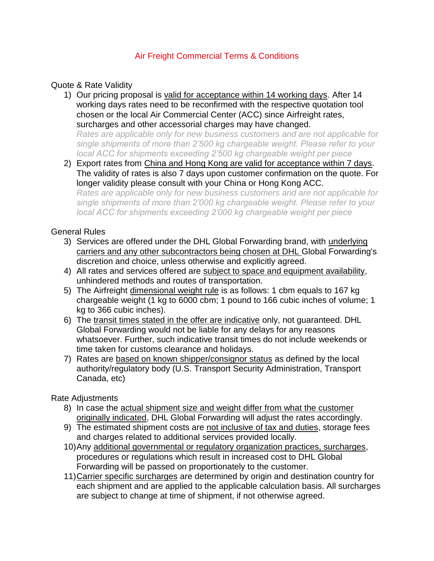# Air Freight Commercial Terms & Conditions

### Quote & Rate Validity

1) Our pricing proposal is valid for acceptance within 14 working days. After 14 working days rates need to be reconfirmed with the respective quotation tool chosen or the local Air Commercial Center (ACC) since Airfreight rates, surcharges and other accessorial charges may have changed.

*Rates are applicable only for new business customers and are not applicable for single shipments of more than 2'500 kg chargeable weight. Please refer to your local ACC for shipments exceeding 2'500 kg chargeable weight per piece*

2) Export rates from China and Hong Kong are valid for acceptance within 7 days. The validity of rates is also 7 days upon customer confirmation on the quote. For longer validity please consult with your China or Hong Kong ACC.

*Rates are applicable only for new business customers and are not applicable for single shipments of more than 2'000 kg chargeable weight. Please refer to your local ACC for shipments exceeding 2'000 kg chargeable weight per piece*

#### General Rules

- 3) Services are offered under the DHL Global Forwarding brand, with underlying carriers and any other subcontractors being chosen at DHL Global Forwarding's discretion and choice, unless otherwise and explicitly agreed.
- 4) All rates and services offered are subject to space and equipment availability, unhindered methods and routes of transportation.
- 5) The Airfreight dimensional weight rule is as follows: 1 cbm equals to 167 kg chargeable weight (1 kg to 6000 cbm; 1 pound to 166 cubic inches of volume; 1 kg to 366 cubic inches).
- 6) The transit times stated in the offer are indicative only, not guaranteed. DHL Global Forwarding would not be liable for any delays for any reasons whatsoever. Further, such indicative transit times do not include weekends or time taken for customs clearance and holidays.
- 7) Rates are based on known shipper/consignor status as defined by the local authority/regulatory body (U.S. Transport Security Administration, Transport Canada, etc)

Rate Adjustments

- 8) In case the actual shipment size and weight differ from what the customer originally indicated, DHL Global Forwarding will adjust the rates accordingly.
- 9) The estimated shipment costs are not inclusive of tax and duties, storage fees and charges related to additional services provided locally.
- 10)Any additional governmental or regulatory organization practices, surcharges, procedures or regulations which result in increased cost to DHL Global Forwarding will be passed on proportionately to the customer.
- 11)Carrier specific surcharges are determined by origin and destination country for each shipment and are applied to the applicable calculation basis. All surcharges are subject to change at time of shipment, if not otherwise agreed.